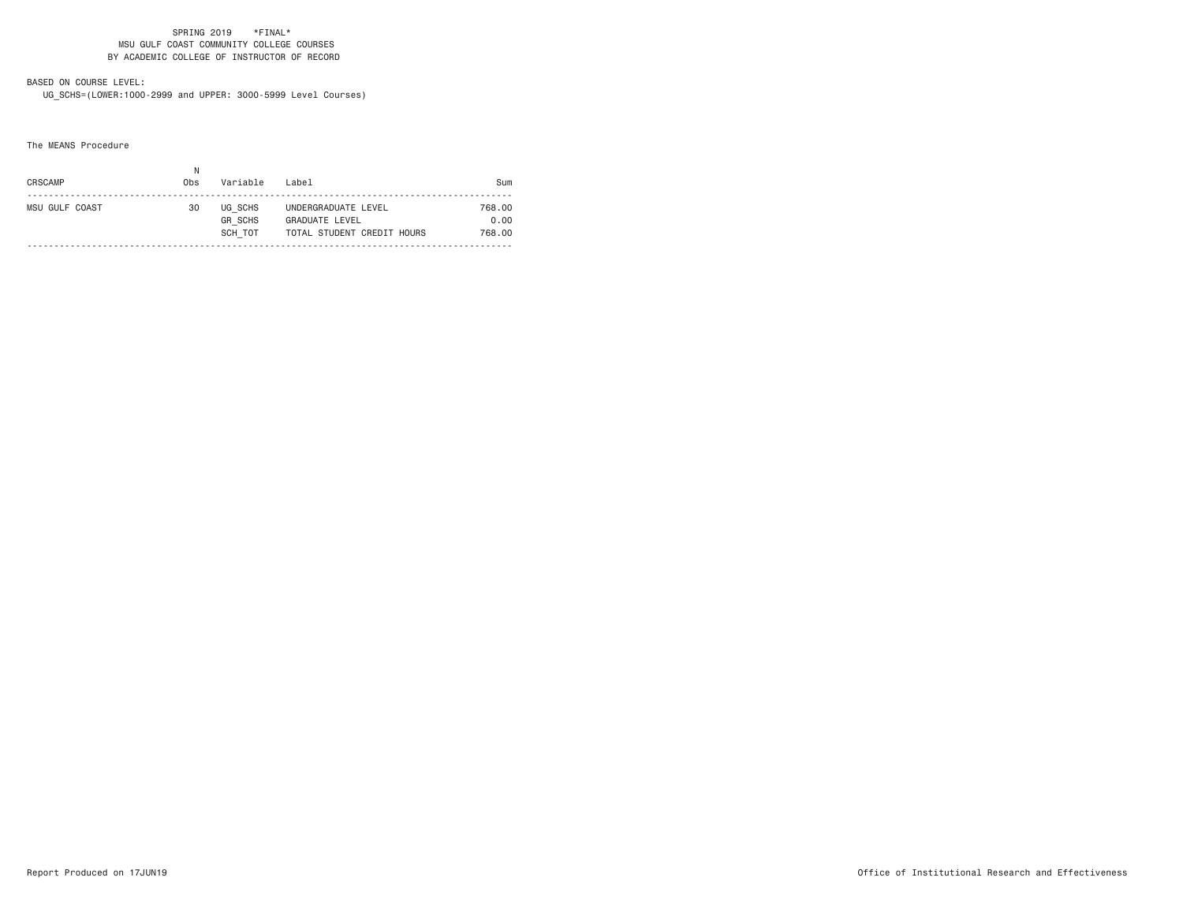# BASED ON COURSE LEVEL:

UG\_SCHS=(LOWER:1000-2999 and UPPER: 3000-5999 Level Courses)

The MEANS Procedure

| CRSCAMP        | Ν<br>0bs | Variable                             | Label                                                               | Sum                      |
|----------------|----------|--------------------------------------|---------------------------------------------------------------------|--------------------------|
| MSU GULF COAST | 30       | UG SCHS<br><b>GR SCHS</b><br>SCH TOT | UNDERGRADUATE LEVEL<br>GRADUATE LEVEL<br>TOTAL STUDENT CREDIT HOURS | 768.00<br>0.00<br>768.00 |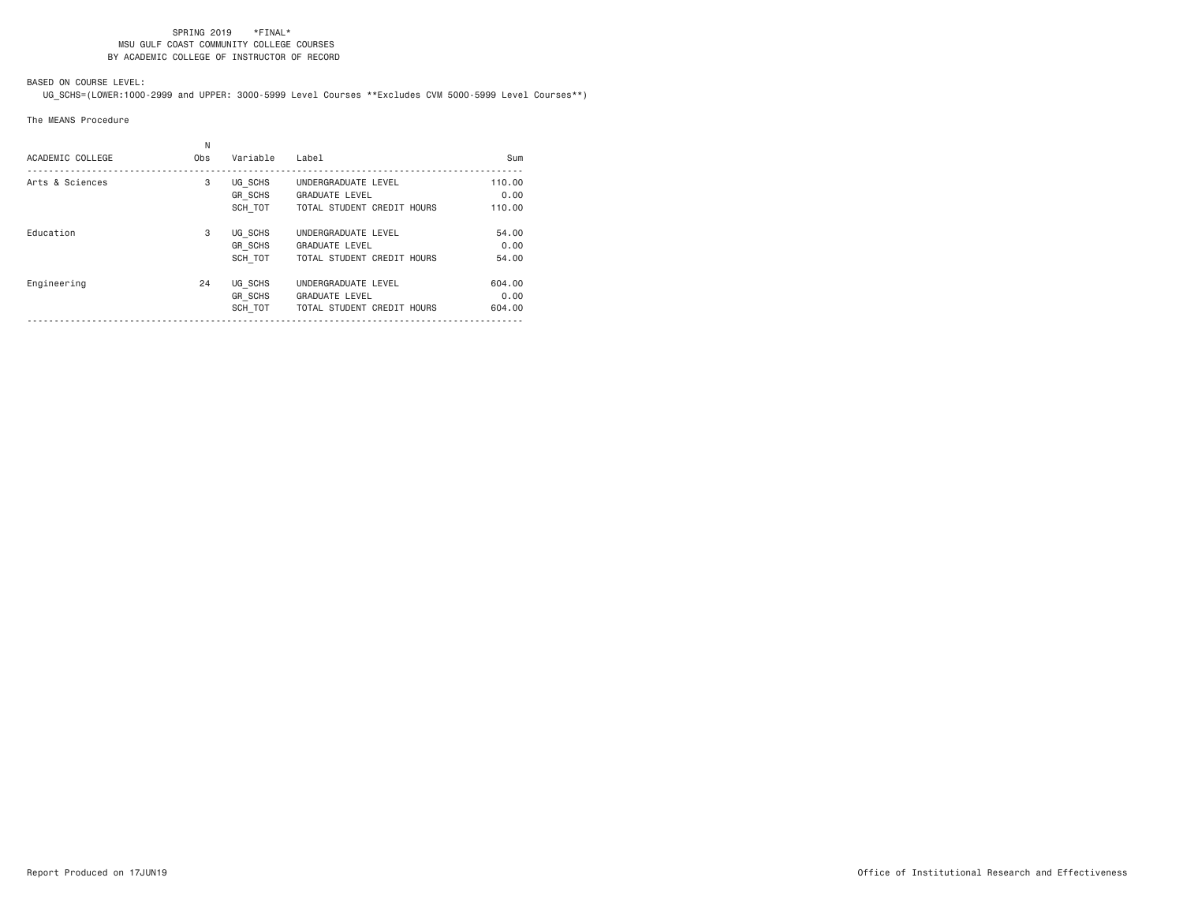# BASED ON COURSE LEVEL:

UG\_SCHS=(LOWER:1000-2999 and UPPER: 3000-5999 Level Courses \*\*Excludes CVM 5000-5999 Level Courses\*\*)

#### The MEANS Procedure

| ACADEMIC COLLEGE | N<br>Obs | Variable                             | Label                                                                      | Sum                      |
|------------------|----------|--------------------------------------|----------------------------------------------------------------------------|--------------------------|
| Arts & Sciences  | 3        | UG SCHS<br><b>GR SCHS</b><br>SCH TOT | UNDERGRADUATE LEVEL<br><b>GRADUATE LEVEL</b><br>TOTAL STUDENT CREDIT HOURS | 110.00<br>0.00<br>110.00 |
| Education        | 3        | UG SCHS<br>GR SCHS<br>SCH TOT        | UNDERGRADUATE LEVEL<br><b>GRADUATE LEVEL</b><br>TOTAL STUDENT CREDIT HOURS | 54,00<br>0.00<br>54.00   |
| Engineering      | 24       | UG SCHS<br>GR SCHS<br>SCH TOT        | UNDERGRADUATE LEVEL<br><b>GRADUATE LEVEL</b><br>TOTAL STUDENT CREDIT HOURS | 604.00<br>0.00<br>604.00 |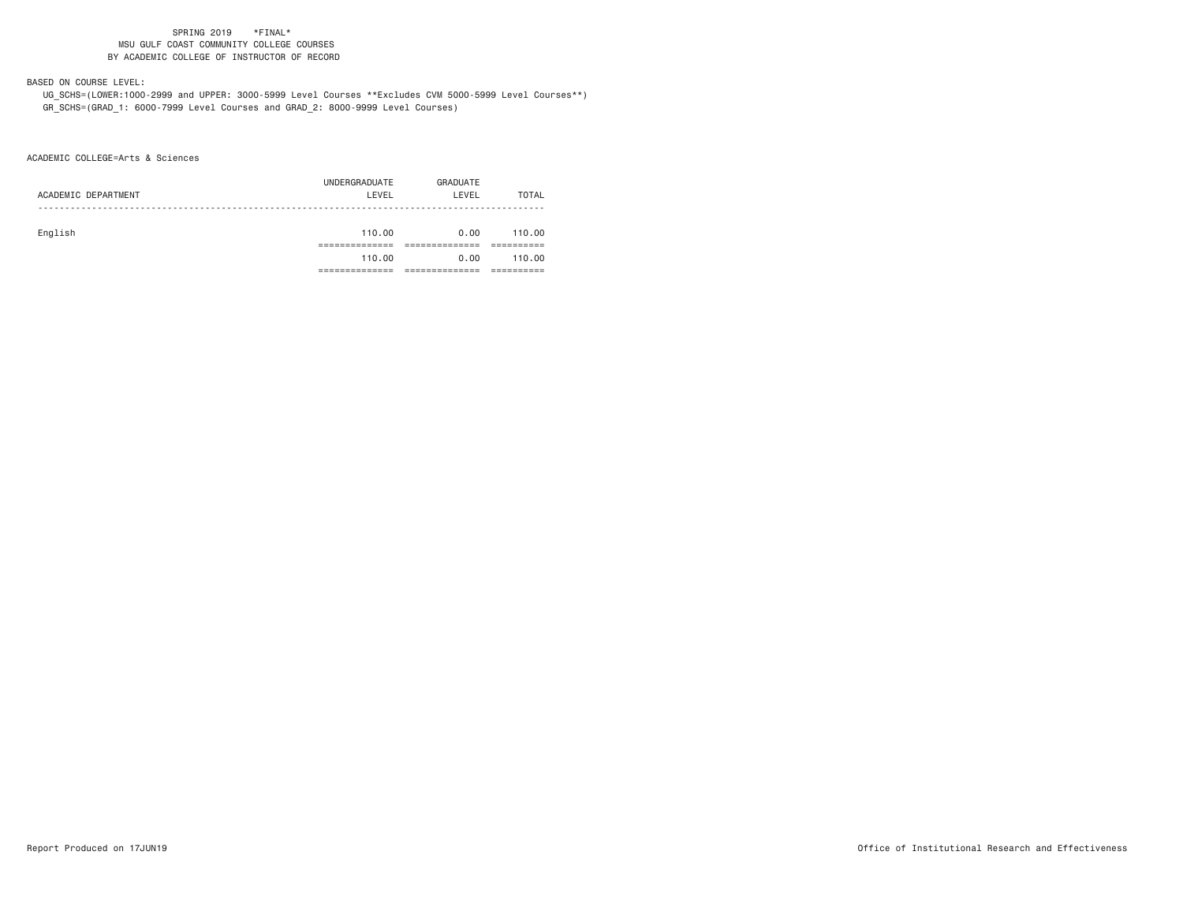## BASED ON COURSE LEVEL:

 UG\_SCHS=(LOWER:1000-2999 and UPPER: 3000-5999 Level Courses \*\*Excludes CVM 5000-5999 Level Courses\*\*) GR\_SCHS=(GRAD\_1: 6000-7999 Level Courses and GRAD\_2: 8000-9999 Level Courses)

ACADEMIC COLLEGE=Arts & Sciences

|                     | UNDERGRADUATE | GRADUATE |        |
|---------------------|---------------|----------|--------|
| ACADEMIC DEPARTMENT | LEVEL         | LEVEL    | TOTAL  |
|                     |               |          |        |
|                     |               |          |        |
| English             | 110.00        | 0.00     | 110.00 |
|                     |               |          |        |
|                     | 110.00        | 0.00     | 110.00 |
|                     |               |          |        |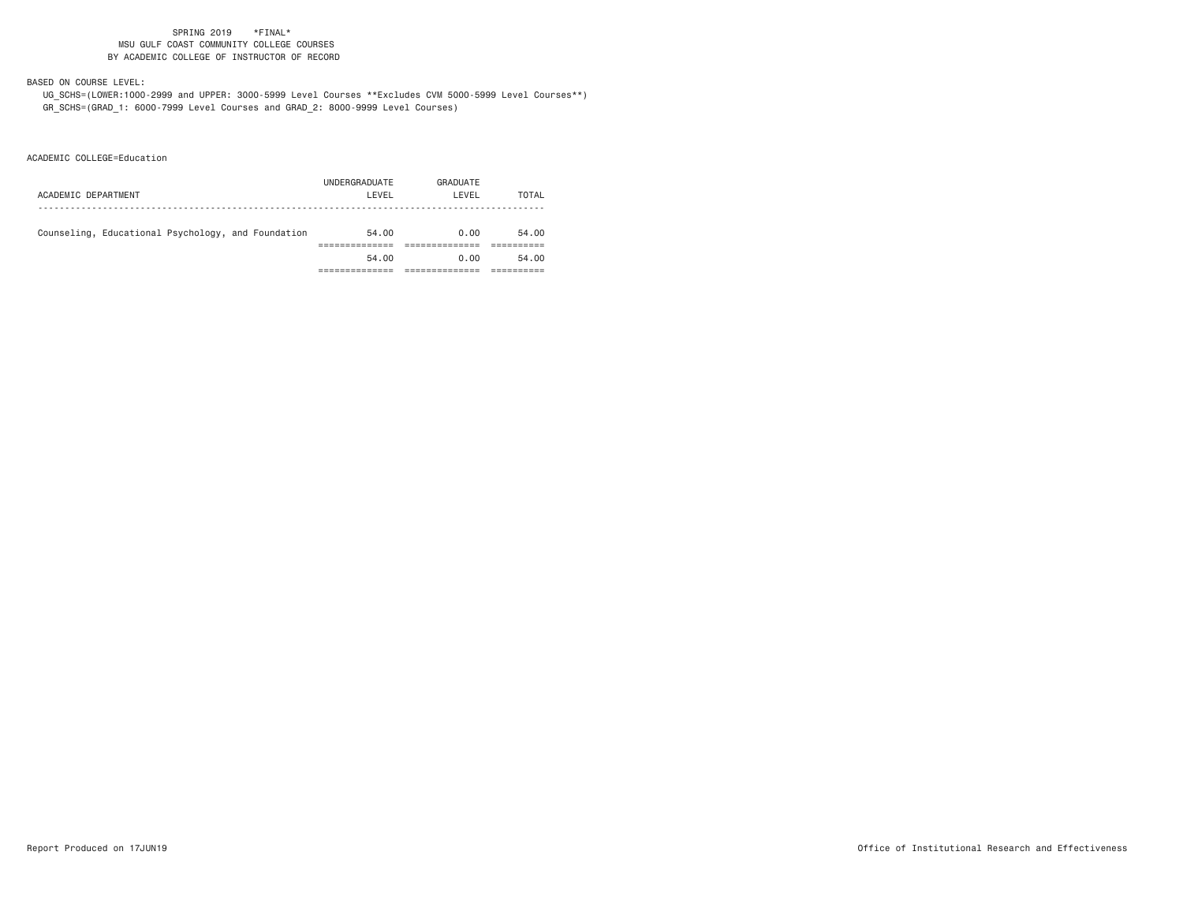## BASED ON COURSE LEVEL:

 UG\_SCHS=(LOWER:1000-2999 and UPPER: 3000-5999 Level Courses \*\*Excludes CVM 5000-5999 Level Courses\*\*) GR\_SCHS=(GRAD\_1: 6000-7999 Level Courses and GRAD\_2: 8000-9999 Level Courses)

ACADEMIC COLLEGE=Education

| ACADEMIC DEPARTMENT                                | UNDERGRADUATE<br>LEVEL | GRADUATE<br>LEVEL | TOTAL |
|----------------------------------------------------|------------------------|-------------------|-------|
| Counseling, Educational Psychology, and Foundation | 54.00                  | 0.00              | 54.00 |
|                                                    | 54.00                  | 0.00              | 54.00 |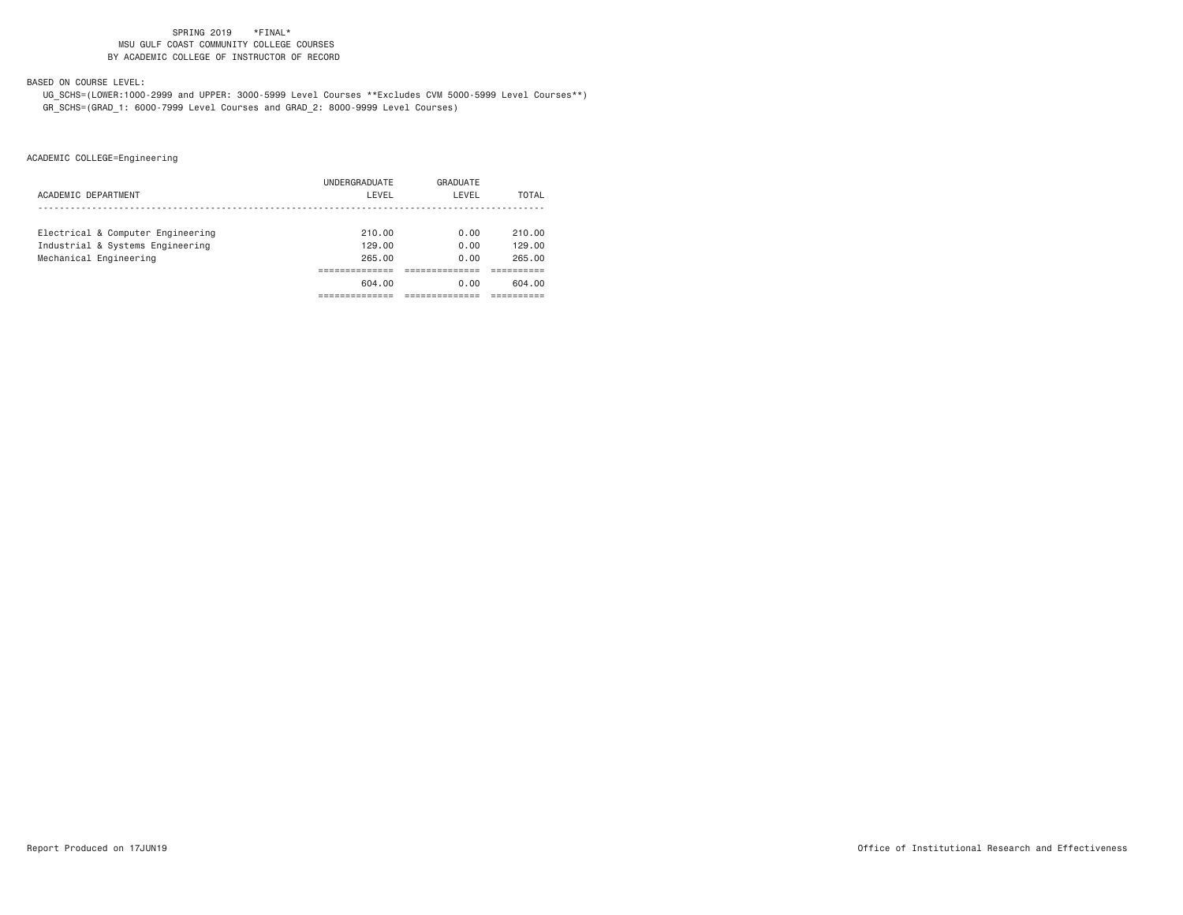BASED ON COURSE LEVEL:

 UG\_SCHS=(LOWER:1000-2999 and UPPER: 3000-5999 Level Courses \*\*Excludes CVM 5000-5999 Level Courses\*\*) GR\_SCHS=(GRAD\_1: 6000-7999 Level Courses and GRAD\_2: 8000-9999 Level Courses)

|                                   | UNDERGRADUATE | GRADUATE |        |
|-----------------------------------|---------------|----------|--------|
| ACADEMIC DEPARTMENT               | LEVEL         | LEVEL    | TOTAL  |
|                                   |               |          |        |
| Electrical & Computer Engineering | 210.00        | 0.00     | 210.00 |
| Industrial & Systems Engineering  | 129,00        | 0.00     | 129.00 |
| Mechanical Engineering            | 265.00        | 0.00     | 265.00 |
|                                   |               |          |        |
|                                   | 604.00        | 0.00     | 604.00 |
|                                   |               |          |        |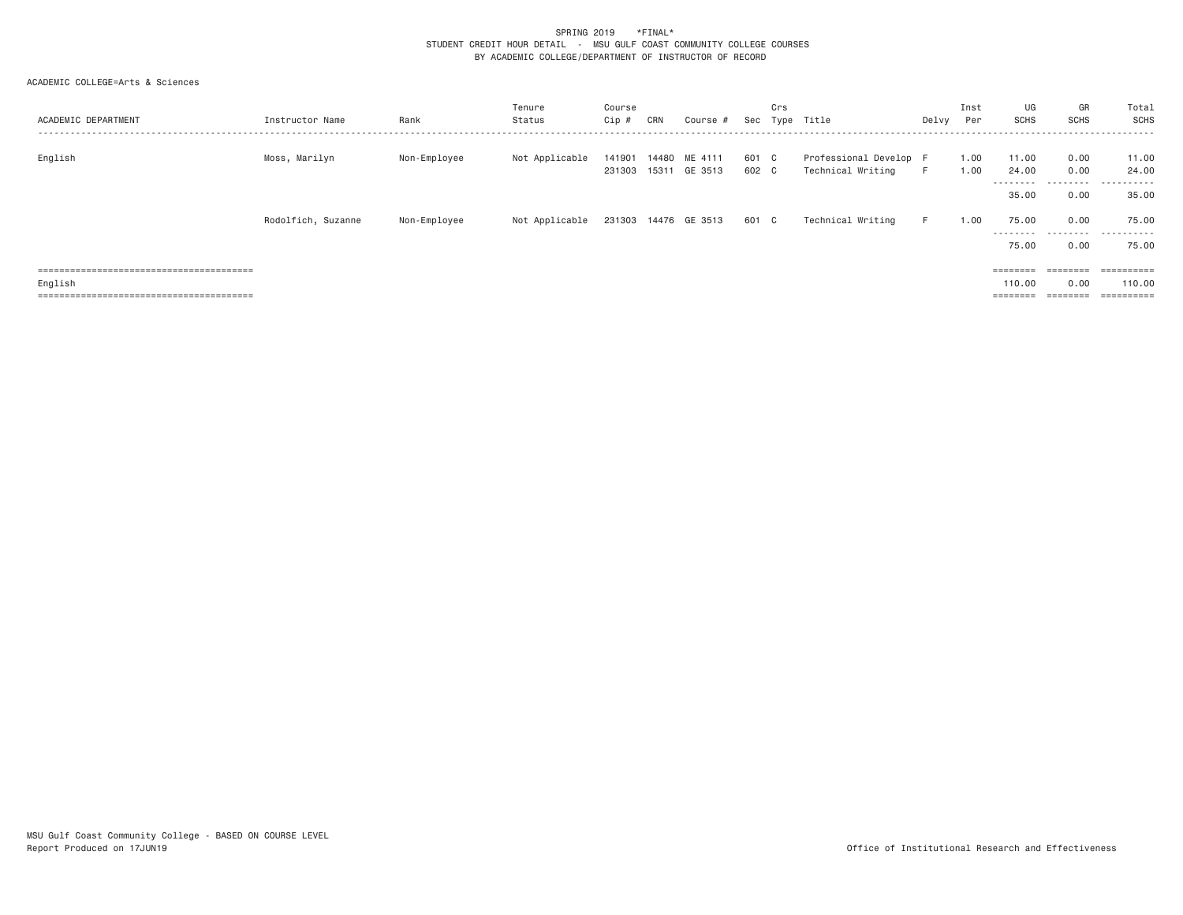## ACADEMIC COLLEGE=Arts & Sciences

| ACADEMIC DEPARTMENT | Instructor Name    | Rank         | Tenure<br>Status | Course<br>Cip # | CRN   | Course #                        | Sec            | Crs | Type Title                                  | Delvy | Inst<br>Per  | UG<br><b>SCHS</b>           | GR<br><b>SCHS</b>                                                                                                                                          | Total<br>SCHS                   |
|---------------------|--------------------|--------------|------------------|-----------------|-------|---------------------------------|----------------|-----|---------------------------------------------|-------|--------------|-----------------------------|------------------------------------------------------------------------------------------------------------------------------------------------------------|---------------------------------|
| English             | Moss, Marilyn      | Non-Employee | Not Applicable   | 141901          | 14480 | ME 4111<br>231303 15311 GE 3513 | 601 C<br>602 C |     | Professional Develop F<br>Technical Writing | F.    | 1.00<br>1.00 | 11.00<br>24,00<br>--------  | 0.00<br>0.00<br>.                                                                                                                                          | 11.00<br>24,00<br>.             |
|                     | Rodolfich, Suzanne | Non-Employee | Not Applicable   |                 |       | 231303 14476 GE 3513            | 601 C          |     | Technical Writing                           | F.    | 1.00         | 35,00<br>75.00<br>--------- | 0.00<br>0.00<br>.                                                                                                                                          | 35,00<br>75.00<br>.             |
|                     |                    |              |                  |                 |       |                                 |                |     |                                             |       |              | 75.00                       | 0.00                                                                                                                                                       | 75.00                           |
| English             |                    |              |                  |                 |       |                                 |                |     |                                             |       |              | 110,00                      | $\qquad \qquad \equiv \equiv \equiv \equiv \equiv \equiv \equiv \equiv$<br>0.00<br>$\qquad \qquad \equiv \equiv \equiv \equiv \equiv \equiv \equiv \equiv$ | 110,00<br>$=$ = = = = = = = = = |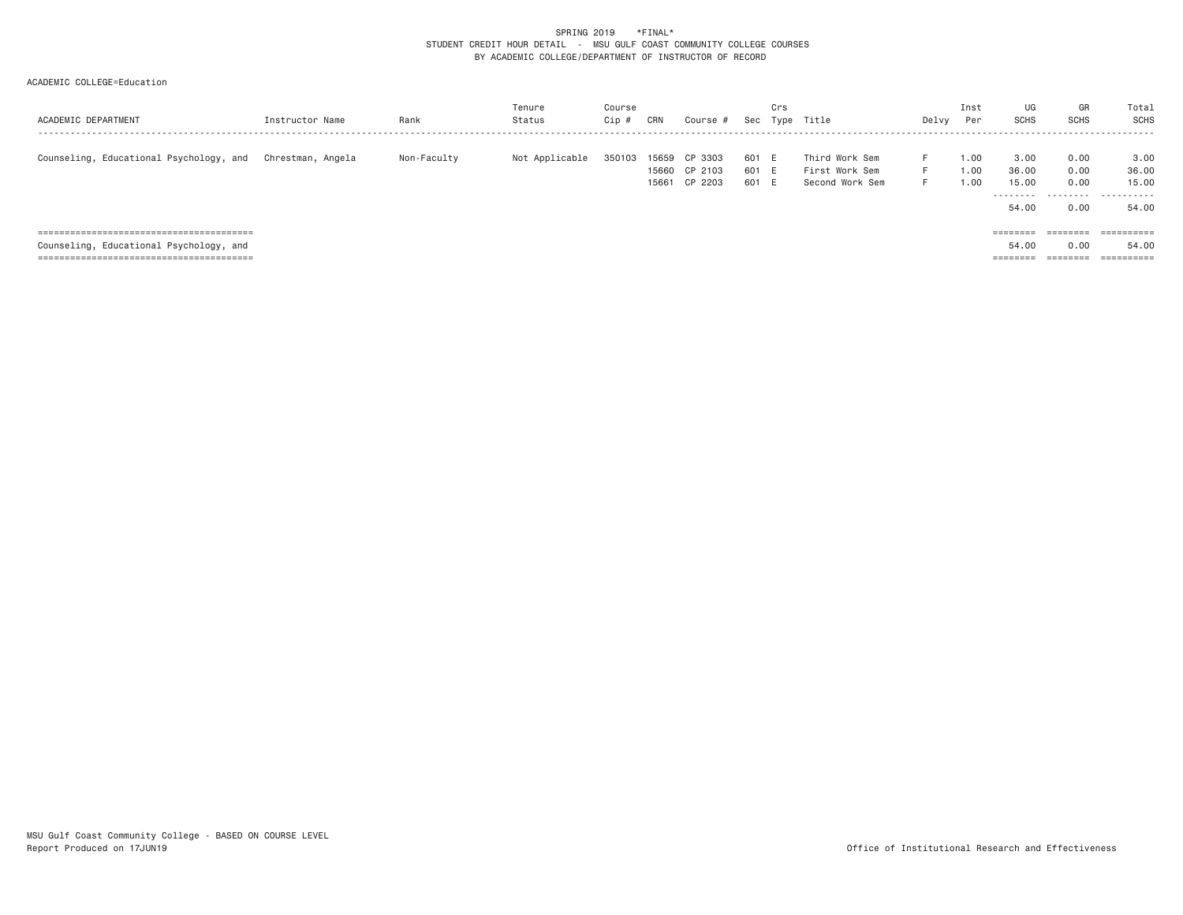## ACADEMIC COLLEGE=Education

| ACADEMIC DEPARTMENT                     | Instructor Name   | Rank        | Tenure<br>Status | Course<br>Cip | CRN            | Course #           | Sec            | Crs<br>Type | Title                            | Delvy    | Inst<br>Per  | UG<br><b>SCHS</b> | GR<br><b>SCHS</b> | Total<br>SCHS         |
|-----------------------------------------|-------------------|-------------|------------------|---------------|----------------|--------------------|----------------|-------------|----------------------------------|----------|--------------|-------------------|-------------------|-----------------------|
| Counseling, Educational Psychology, and | Chrestman. Angela | Non-Faculty | Not Applicable   | 350103        | 15659<br>15660 | CP 3303<br>CP 2103 | 601 E<br>601 E |             | Third Work Sem<br>First Work Sem | Е.<br>F. | 1.00<br>1.00 | 3,00<br>36.00     | 0.00<br>0.00      | 3,00<br>36.00         |
|                                         |                   |             |                  |               | 15661          | CP 2203            | 601 E          |             | Second Work Sem                  | F.       | 1.00         | 15.00<br>.        | 0.00              | 15,00<br>.            |
|                                         |                   |             |                  |               |                |                    |                |             |                                  |          |              | 54.00             | 0.00              | 54,00                 |
|                                         |                   |             |                  |               |                |                    |                |             |                                  |          |              | ========          | ========          | $=$ = = = = = = = = = |
| Counseling, Educational Psychology, and |                   |             |                  |               |                |                    |                |             |                                  |          |              | 54.00             | 0.00              | 54,00                 |
|                                         |                   |             |                  |               |                |                    |                |             |                                  |          |              | ========          | ========          | ==========            |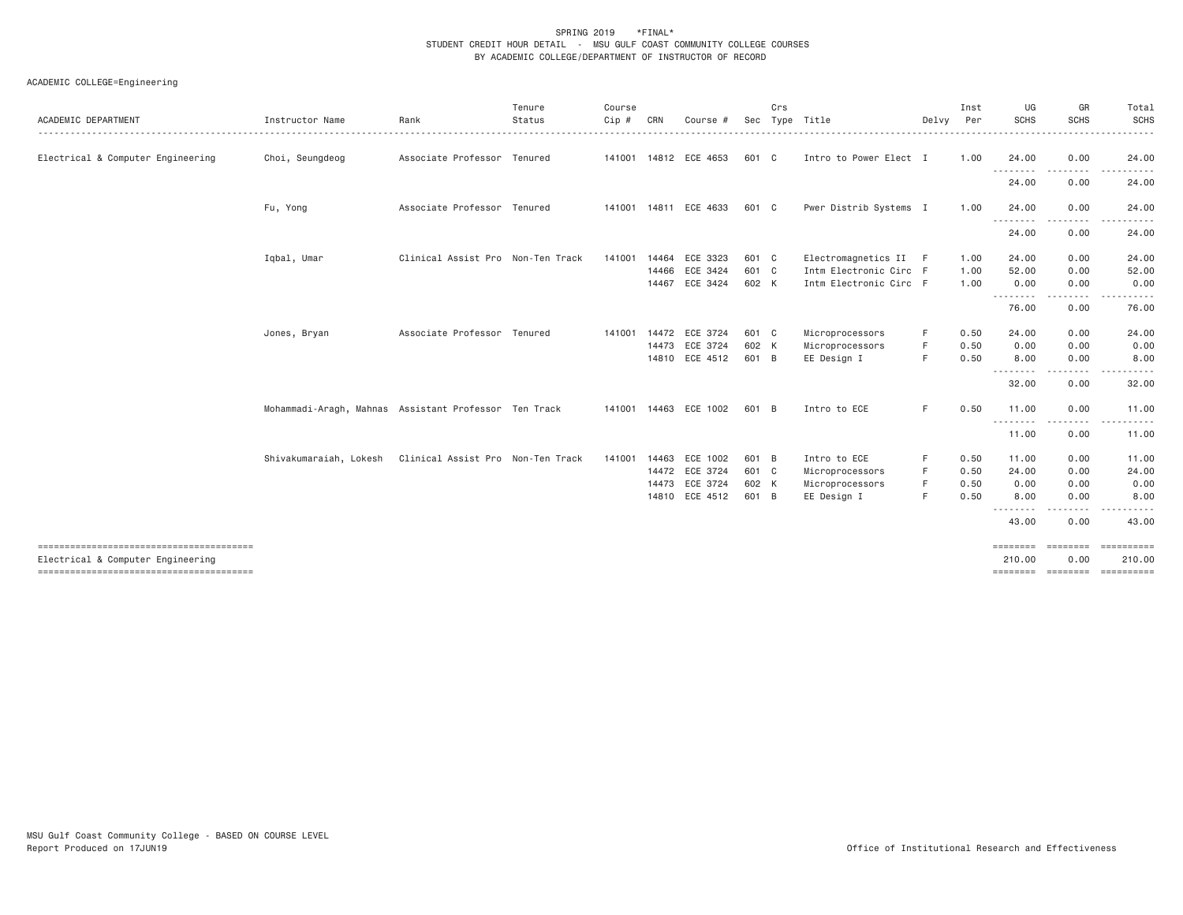| ACADEMIC DEPARTMENT               | Instructor Name                                       | Rank                              | Tenure<br>Status | Course<br>Cip # | CRN            | Course #                                                             | Sec                              | Crs | Type Title                                                                | Delvy            | Inst<br>Per                  | UG<br><b>SCHS</b>                                                  | GR<br><b>SCHS</b>                    | Total<br><b>SCHS</b>                    |
|-----------------------------------|-------------------------------------------------------|-----------------------------------|------------------|-----------------|----------------|----------------------------------------------------------------------|----------------------------------|-----|---------------------------------------------------------------------------|------------------|------------------------------|--------------------------------------------------------------------|--------------------------------------|-----------------------------------------|
| Electrical & Computer Engineering | Choi, Seungdeog                                       | Associate Professor Tenured       |                  |                 |                | 141001 14812 ECE 4653                                                | 601 C                            |     | Intro to Power Elect I                                                    |                  | 1.00                         | 24.00<br>$\frac{1}{2}$                                             | 0.00                                 | 24.00                                   |
|                                   |                                                       |                                   |                  |                 |                |                                                                      |                                  |     |                                                                           |                  |                              | 24.00                                                              | 0.00                                 | 24.00                                   |
|                                   | Fu, Yong                                              | Associate Professor Tenured       |                  |                 |                | 141001 14811 ECE 4633                                                | 601 C                            |     | Pwer Distrib Systems I                                                    |                  | 1.00                         | 24.00                                                              | 0.00                                 | 24.00                                   |
|                                   |                                                       |                                   |                  |                 |                |                                                                      |                                  |     |                                                                           |                  |                              | --------<br>24.00                                                  | 0.00                                 | 24.00                                   |
|                                   | Igbal, Umar                                           | Clinical Assist Pro Non-Ten Track |                  | 141001          | 14466<br>14467 | 14464 ECE 3323<br>ECE 3424<br>ECE 3424                               | 601 C<br>601 C<br>602 K          |     | Electromagnetics II F<br>Intm Electronic Circ F<br>Intm Electronic Circ F |                  | 1.00<br>1.00<br>1.00         | 24.00<br>52.00<br>0.00                                             | 0.00<br>0.00<br>0.00                 | 24.00<br>52.00<br>0.00                  |
|                                   |                                                       |                                   |                  |                 |                |                                                                      |                                  |     |                                                                           |                  |                              | .<br>76.00                                                         | 0.00                                 | 76.00                                   |
|                                   | Jones, Bryan                                          | Associate Professor Tenured       |                  |                 |                | 141001 14472 ECE 3724<br>14473 ECE 3724<br>14810 ECE 4512            | 601 C<br>602 K<br>601 B          |     | Microprocessors<br>Microprocessors<br>EE Design I                         | F<br>F<br>F      | 0.50<br>0.50<br>0.50         | 24.00<br>0.00<br>8.00                                              | 0.00<br>0.00<br>0.00                 | 24.00<br>0.00<br>8.00                   |
|                                   |                                                       |                                   |                  |                 |                |                                                                      |                                  |     |                                                                           |                  |                              | - - - - - - - -<br>32.00                                           | 0.00                                 | 32.00                                   |
|                                   | Mohammadi-Aragh, Mahnas Assistant Professor Ten Track |                                   |                  |                 |                | 141001  14463  ECE  1002                                             | 601 B                            |     | Intro to ECE                                                              | F                | 0.50                         | 11.00<br>.                                                         | 0.00                                 | 11.00                                   |
|                                   |                                                       |                                   |                  |                 |                |                                                                      |                                  |     |                                                                           |                  |                              | 11.00                                                              | 0.00                                 | 11.00                                   |
|                                   | Shivakumaraiah, Lokesh                                | Clinical Assist Pro Non-Ten Track |                  | 141001          |                | 14463 ECE 1002<br>14472 ECE 3724<br>14473 ECE 3724<br>14810 ECE 4512 | 601 B<br>601 C<br>602 K<br>601 B |     | Intro to ECE<br>Microprocessors<br>Microprocessors<br>EE Design I         | F<br>F<br>F<br>F | 0.50<br>0.50<br>0.50<br>0.50 | 11.00<br>24.00<br>0.00<br>8.00<br><u> - - - - - - - -</u><br>43.00 | 0.00<br>0.00<br>0.00<br>0.00<br>0.00 | 11.00<br>24.00<br>0.00<br>8.00<br>43.00 |
| Electrical & Computer Engineering |                                                       |                                   |                  |                 |                |                                                                      |                                  |     |                                                                           |                  |                              | ========<br>210.00                                                 | ========<br>0.00                     | ==========<br>210,00                    |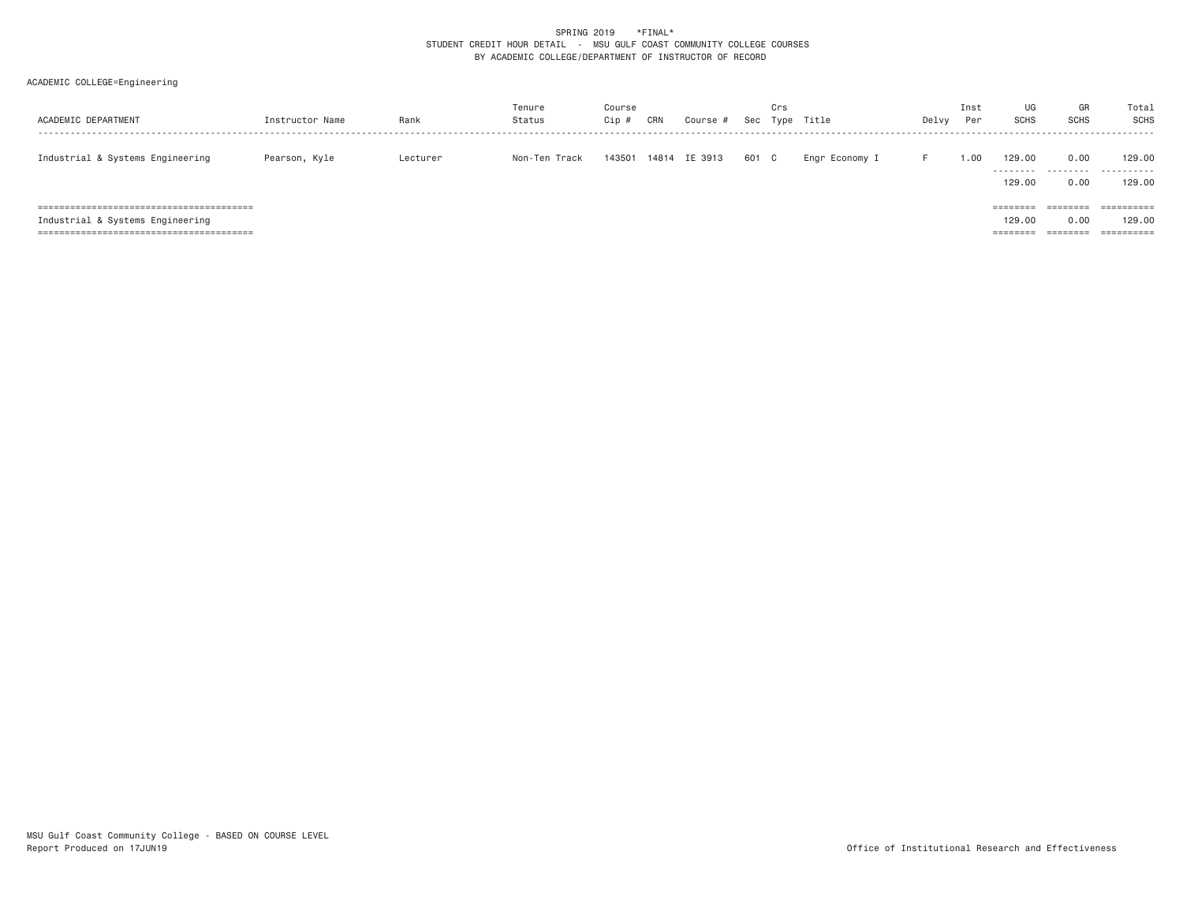| ACADEMIC DEPARTMENT              | Instructor Name | Rank     | Tenure<br>Status | Course<br>Cip # | CRN | Course #      | Sec   | Crs | Type Title     | Delvy | Inst<br>Per | UG<br><b>SCHS</b>                       | GR<br><b>SCHS</b>            | Total<br>SCHS                                 |
|----------------------------------|-----------------|----------|------------------|-----------------|-----|---------------|-------|-----|----------------|-------|-------------|-----------------------------------------|------------------------------|-----------------------------------------------|
| Industrial & Systems Engineering | Pearson, Kyle   | Lecturer | Non-Ten Track    | 143501          |     | 14814 IE 3913 | 601 C |     | Engr Economy I |       | .00.        | 129.00<br>129,00                        | 0.00<br>0.00                 | 129,00<br><br>129,00                          |
| Industrial & Systems Engineering |                 |          |                  |                 |     |               |       |     |                |       |             | $=$ = = = = = = =<br>129,00<br>======== | ========<br>0.00<br>======== | $=$ = = = = = = = = =<br>129.00<br>========== |